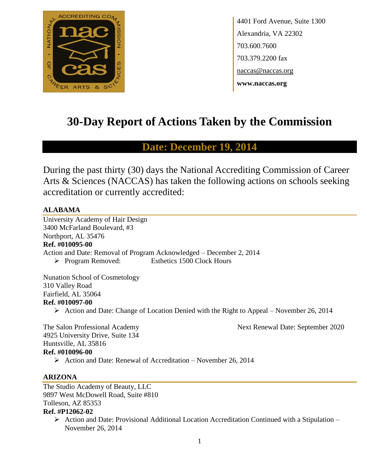

4401 Ford Avenue, Suite 1300 Alexandria, VA 22302 703.600.7600 703.379.2200 fax naccas@naccas.org **www.naccas.org**

# **30-Day Report of Actions Taken by the Commission**

# **Date: December 19, 2014**

During the past thirty (30) days the National Accrediting Commission of Career Arts & Sciences (NACCAS) has taken the following actions on schools seeking accreditation or currently accredited:

#### **ALABAMA**

University Academy of Hair Design 3400 McFarland Boulevard, #3 Northport, AL 35476 **Ref. #010095-00** Action and Date: Removal of Program Acknowledged – December 2, 2014 Program Removed: Esthetics 1500 Clock Hours

Nunation School of Cosmetology 310 Valley Road Fairfield, AL 35064 **Ref. #010097-00**

 $\triangleright$  Action and Date: Change of Location Denied with the Right to Appeal – November 26, 2014

The Salon Professional Academy Next Renewal Date: September 2020

4925 University Drive, Suite 134 Huntsville, AL 35816 **Ref. #010096-00**

 $\triangleright$  Action and Date: Renewal of Accreditation – November 26, 2014

#### **ARIZONA**

The Studio Academy of Beauty, LLC 9897 West McDowell Road, Suite #810 Tolleson, AZ 85353 **Ref. #P12062-02**

 $\triangleright$  Action and Date: Provisional Additional Location Accreditation Continued with a Stipulation – November 26, 2014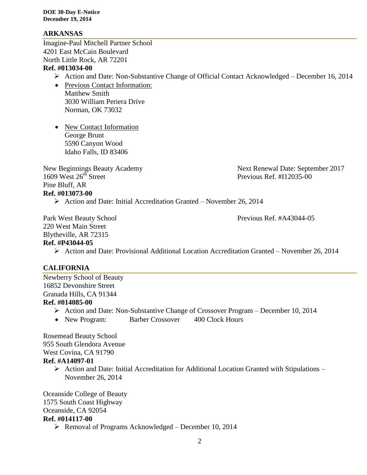#### **ARKANSAS**

Imagine-Paul Mitchell Partner School 4201 East McCain Boulevard North Little Rock, AR 72201

#### **Ref. #013034-00**

- Action and Date: Non-Substantive Change of Official Contact Acknowledged December 16, 2014
- Previous Contact Information: Matthew Smith 3030 William Periera Drive Norman, OK 73032
- New Contact Information George Brunt 5590 Canyon Wood Idaho Falls, ID 83406

Pine Bluff, AR **Ref. #013073-00**

New Beginnings Beauty Academy Next Renewal Date: September 2017<br>1609 West 26<sup>th</sup> Street Previous Ref. #112035-00 Previous Ref. #I12035-00

 $\triangleright$  Action and Date: Initial Accreditation Granted – November 26, 2014

Park West Beauty School Previous Ref. #A43044-05

220 West Main Street Blytheville, AR 72315 **Ref. #P43044-05**

Action and Date: Provisional Additional Location Accreditation Granted – November 26, 2014

#### **CALIFORNIA**

Newberry School of Beauty 16852 Devonshire Street Granada Hills, CA 91344 **Ref. #014085-00**

- Action and Date: Non-Substantive Change of Crossover Program December 10, 2014
- New Program: Barber Crossover 400 Clock Hours

Rosemead Beauty School 955 South Glendora Avenue West Covina, CA 91790 **Ref. #A14097-01**

> $\triangleright$  Action and Date: Initial Accreditation for Additional Location Granted with Stipulations – November 26, 2014

Oceanside College of Beauty 1575 South Coast Highway Oceanside, CA 92054 **Ref. #014117-00**

 $\triangleright$  Removal of Programs Acknowledged – December 10, 2014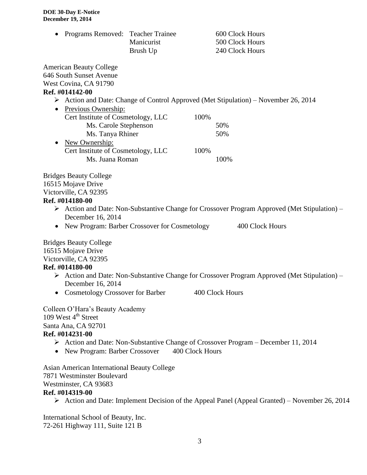| Programs Removed: Teacher Trainee                                                                                                                                     | Manicurist<br>Brush Up |                 | 600 Clock Hours<br>500 Clock Hours<br>240 Clock Hours                                                                          |
|-----------------------------------------------------------------------------------------------------------------------------------------------------------------------|------------------------|-----------------|--------------------------------------------------------------------------------------------------------------------------------|
| <b>American Beauty College</b><br>646 South Sunset Avenue<br>West Covina, CA 91790                                                                                    |                        |                 |                                                                                                                                |
| Ref. #014142-00                                                                                                                                                       |                        |                 |                                                                                                                                |
|                                                                                                                                                                       |                        |                 | $\triangleright$ Action and Date: Change of Control Approved (Met Stipulation) – November 26, 2014                             |
| Previous Ownership:<br>٠                                                                                                                                              |                        |                 |                                                                                                                                |
| Cert Institute of Cosmetology, LLC                                                                                                                                    |                        | 100%            |                                                                                                                                |
| Ms. Carole Stephenson                                                                                                                                                 |                        |                 | 50%                                                                                                                            |
| Ms. Tanya Rhiner                                                                                                                                                      |                        |                 | 50%                                                                                                                            |
| New Ownership:<br>٠                                                                                                                                                   |                        |                 |                                                                                                                                |
| Cert Institute of Cosmetology, LLC                                                                                                                                    |                        | 100%            |                                                                                                                                |
| Ms. Juana Roman                                                                                                                                                       |                        |                 | 100%                                                                                                                           |
| <b>Bridges Beauty College</b><br>16515 Mojave Drive<br>Victorville, CA 92395<br>Ref. #014180-00<br>December 16, 2014<br>New Program: Barber Crossover for Cosmetology |                        |                 | $\triangleright$ Action and Date: Non-Substantive Change for Crossover Program Approved (Met Stipulation) –<br>400 Clock Hours |
| <b>Bridges Beauty College</b><br>16515 Mojave Drive<br>Victorville, CA 92395<br>Ref. #014180-00                                                                       |                        |                 | $\triangleright$ Action and Date: Non-Substantive Change for Crossover Program Approved (Met Stipulation) –                    |
| December 16, 2014                                                                                                                                                     |                        |                 |                                                                                                                                |
| • Cosmetology Crossover for Barber                                                                                                                                    |                        |                 | 400 Clock Hours                                                                                                                |
| Colleen O'Hara's Beauty Academy<br>109 West $4th$ Street<br>Santa Ana, CA 92701<br>Ref. #014231-00<br>New Program: Barber Crossover<br>$\bullet$                      |                        | 400 Clock Hours | $\triangleright$ Action and Date: Non-Substantive Change of Crossover Program – December 11, 2014                              |
| Asian American International Beauty College<br>7871 Westminster Boulevard<br>Westminster, CA 93683<br>Ref. #014319-00                                                 |                        |                 |                                                                                                                                |

Action and Date: Implement Decision of the Appeal Panel (Appeal Granted) – November 26, 2014

International School of Beauty, Inc. 72-261 Highway 111, Suite 121 B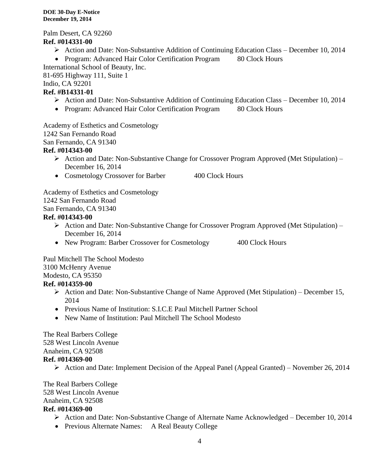Palm Desert, CA 92260 **Ref. #014331-00**

- Action and Date: Non-Substantive Addition of Continuing Education Class December 10, 2014
- Program: Advanced Hair Color Certification Program 80 Clock Hours

International School of Beauty, Inc.

81-695 Highway 111, Suite 1

Indio, CA 92201

## **Ref. #B14331-01**

- Action and Date: Non-Substantive Addition of Continuing Education Class December 10, 2014
- Program: Advanced Hair Color Certification Program 80 Clock Hours

Academy of Esthetics and Cosmetology

1242 San Fernando Road

San Fernando, CA 91340

## **Ref. #014343-00**

- Action and Date: Non-Substantive Change for Crossover Program Approved (Met Stipulation) December 16, 2014
- Cosmetology Crossover for Barber 400 Clock Hours

Academy of Esthetics and Cosmetology 1242 San Fernando Road

San Fernando, CA 91340

## **Ref. #014343-00**

- $\triangleright$  Action and Date: Non-Substantive Change for Crossover Program Approved (Met Stipulation) December 16, 2014
- New Program: Barber Crossover for Cosmetology 400 Clock Hours

Paul Mitchell The School Modesto

3100 McHenry Avenue

Modesto, CA 95350

## **Ref. #014359-00**

- $\triangleright$  Action and Date: Non-Substantive Change of Name Approved (Met Stipulation) December 15, 2014
- Previous Name of Institution: S.I.C.E Paul Mitchell Partner School
- New Name of Institution: Paul Mitchell The School Modesto

The Real Barbers College 528 West Lincoln Avenue Anaheim, CA 92508 **Ref. #014369-00**

 $\triangleright$  Action and Date: Implement Decision of the Appeal Panel (Appeal Granted) – November 26, 2014

The Real Barbers College

528 West Lincoln Avenue

Anaheim, CA 92508

## **Ref. #014369-00**

- Action and Date: Non-Substantive Change of Alternate Name Acknowledged December 10, 2014
- Previous Alternate Names: A Real Beauty College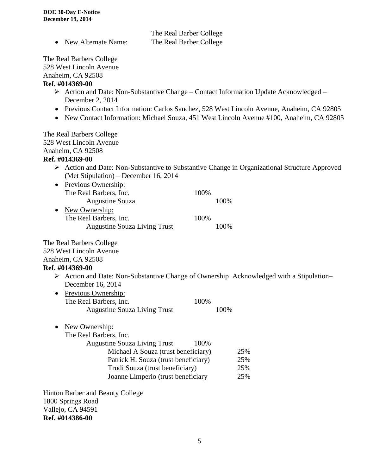|                          | The Real Barber College |  |
|--------------------------|-------------------------|--|
| • New Alternate Name:    | The Real Barber College |  |
| The Real Barbers College |                         |  |
| 528 West Lincoln Avenue  |                         |  |

Anaheim, CA 92508

#### **Ref. #014369-00**

- Action and Date: Non-Substantive Change Contact Information Update Acknowledged December 2, 2014
- Previous Contact Information: Carlos Sanchez, 528 West Lincoln Avenue, Anaheim, CA 92805
- New Contact Information: Michael Souza, 451 West Lincoln Avenue #100, Anaheim, CA 92805

The Real Barbers College 528 West Lincoln Avenue Anaheim, CA 92508

#### **Ref. #014369-00**

- Action and Date: Non-Substantive to Substantive Change in Organizational Structure Approved (Met Stipulation) – December 16, 2014
- Previous Ownership: The Real Barbers, Inc. 100% Augustine Souza 100% • New Ownership: The Real Barbers, Inc. 100% Augustine Souza Living Trust 100%

The Real Barbers College

528 West Lincoln Avenue

Anaheim, CA 92508

#### **Ref. #014369-00**

- $\triangleright$  Action and Date: Non-Substantive Change of Ownership Acknowledged with a Stipulation– December 16, 2014
- Previous Ownership: The Real Barbers, Inc. 100% Augustine Souza Living Trust 100%

• New Ownership:

The Real Barbers, Inc.

| $\mathfrak{m}$ baroon, $\mathfrak{m}$ .     |     |
|---------------------------------------------|-----|
| <b>Augustine Souza Living Trust</b><br>100% |     |
| Michael A Souza (trust beneficiary)         | 25% |
| Patrick H. Souza (trust beneficiary)        | 25% |
| Trudi Souza (trust beneficiary)             | 25% |
| Joanne Limperio (trust beneficiary          | 25% |

Hinton Barber and Beauty College 1800 Springs Road Vallejo, CA 94591 **Ref. #014386-00**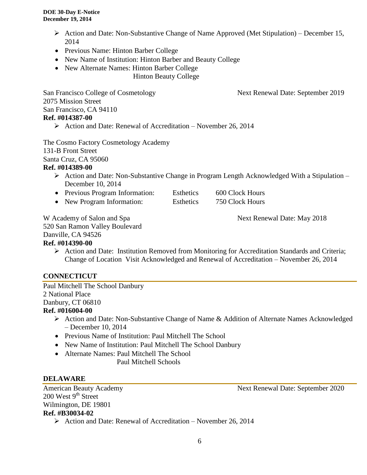- Action and Date: Non-Substantive Change of Name Approved (Met Stipulation) December 15, 2014
- Previous Name: Hinton Barber College
- New Name of Institution: Hinton Barber and Beauty College
- New Alternate Names: Hinton Barber College Hinton Beauty College

San Francisco College of Cosmetology Next Renewal Date: September 2019

2075 Mission Street San Francisco, CA 94110 **Ref. #014387-00**

 $\triangleright$  Action and Date: Renewal of Accreditation – November 26, 2014

The Cosmo Factory Cosmetology Academy 131-B Front Street

Santa Cruz, CA 95060

## **Ref. #014389-00**

- $\triangleright$  Action and Date: Non-Substantive Change in Program Length Acknowledged With a Stipulation December 10, 2014
- Previous Program Information: Esthetics 600 Clock Hours
- New Program Information: Esthetics 750 Clock Hours

W Academy of Salon and Spa Next Renewal Date: May 2018

520 San Ramon Valley Boulevard

#### Danville, CA 94526

## **Ref. #014390-00**

 Action and Date: Institution Removed from Monitoring for Accreditation Standards and Criteria; Change of Location Visit Acknowledged and Renewal of Accreditation – November 26, 2014

## **CONNECTICUT**

Paul Mitchell The School Danbury 2 National Place Danbury, CT 06810 **Ref. #016004-00**

- Action and Date: Non-Substantive Change of Name & Addition of Alternate Names Acknowledged – December 10, 2014
- Previous Name of Institution: Paul Mitchell The School
- New Name of Institution: Paul Mitchell The School Danbury
- Alternate Names: Paul Mitchell The School

Paul Mitchell Schools

## **DELAWARE**

 $200$  West  $9<sup>th</sup>$  Street Wilmington, DE 19801 **Ref. #B30034-02**

American Beauty Academy 1986 1997 Next Renewal Date: September 2020

 $\triangleright$  Action and Date: Renewal of Accreditation – November 26, 2014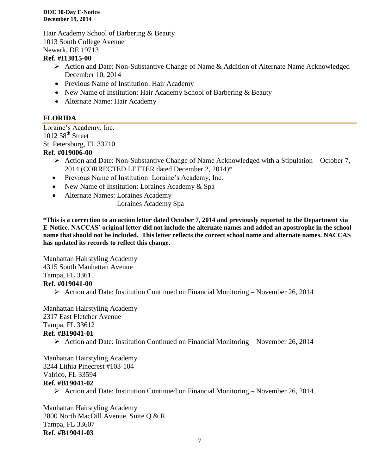Hair Academy School of Barbering & Beauty 1013 South College Avenue Newark, DE 19713

#### **Ref. #I13015-00**

- $\triangleright$  Action and Date: Non-Substantive Change of Name & Addition of Alternate Name Acknowledged December 10, 2014
- Previous Name of Institution: Hair Academy
- New Name of Institution: Hair Academy School of Barbering & Beauty
- Alternate Name: Hair Academy

#### **FLORIDA**

Loraine's Academy, Inc.  $1012\,58$ <sup>th</sup> Street St. Petersburg, FL 33710

#### **Ref. #019006-00**

- $\triangleright$  Action and Date: Non-Substantive Change of Name Acknowledged with a Stipulation October 7, 2014 (CORRECTED LETTER dated December 2, 2014)\*
- Previous Name of Institution: Loraine's Academy, Inc.
- New Name of Institution: Loraines Academy & Spa
- Alternate Names: Loraines Academy

Loraines Academy Spa

**\*This is a correction to an action letter dated October 7, 2014 and previously reported to the Department via E-Notice. NACCAS' original letter did not include the alternate names and added an apostrophe in the school name that should not be included. This letter reflects the correct school name and alternate names. NACCAS has updated its records to reflect this change.**

Manhattan Hairstyling Academy

4315 South Manhattan Avenue

Tampa, FL 33611

#### **Ref. #019041-00**

Action and Date: Institution Continued on Financial Monitoring – November 26, 2014

Manhattan Hairstyling Academy 2317 East Fletcher Avenue Tampa, FL 33612 **Ref. #B19041-01**

Action and Date: Institution Continued on Financial Monitoring – November 26, 2014

Manhattan Hairstyling Academy 3244 Lithia Pinecrest #103-104 Valrico, FL 33594 **Ref. #B19041-02**

 $\triangleright$  Action and Date: Institution Continued on Financial Monitoring – November 26, 2014

Manhattan Hairstyling Academy 2800 North MacDill Avenue, Suite Q & R Tampa, FL 33607 **Ref. #B19041-03**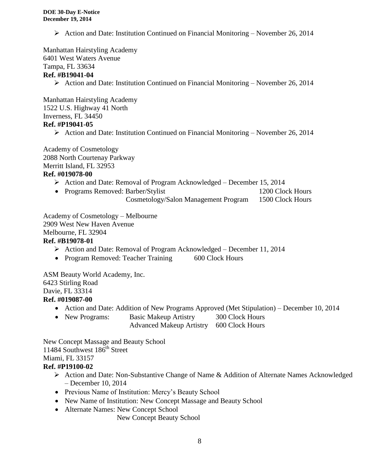Action and Date: Institution Continued on Financial Monitoring – November 26, 2014

Manhattan Hairstyling Academy 6401 West Waters Avenue

## Tampa, FL 33634

#### **Ref. #B19041-04**

 $\triangleright$  Action and Date: Institution Continued on Financial Monitoring – November 26, 2014

Manhattan Hairstyling Academy 1522 U.S. Highway 41 North Inverness, FL 34450 **Ref. #P19041-05**

Action and Date: Institution Continued on Financial Monitoring – November 26, 2014

Academy of Cosmetology 2088 North Courtenay Parkway Merritt Island, FL 32953 **Ref. #019078-00**

## Action and Date: Removal of Program Acknowledged – December 15, 2014

- Programs Removed: Barber/Stylist 1200 Clock Hours
	- Cosmetology/Salon Management Program 1500 Clock Hours

Academy of Cosmetology – Melbourne 2909 West New Haven Avenue Melbourne, FL 32904 **Ref. #B19078-01**

- Action and Date: Removal of Program Acknowledged December 11, 2014
- Program Removed: Teacher Training 600 Clock Hours

ASM Beauty World Academy, Inc. 6423 Stirling Road Davie, FL 33314

#### **Ref. #019087-00**

- Action and Date: Addition of New Programs Approved (Met Stipulation) December 10, 2014
- New Programs: Basic Makeup Artistry 300 Clock Hours
	- Advanced Makeup Artistry 600 Clock Hours

New Concept Massage and Beauty School 11484 Southwest 186<sup>th</sup> Street Miami, FL 33157

## **Ref. #P19100-02**

- Action and Date: Non-Substantive Change of Name & Addition of Alternate Names Acknowledged – December 10, 2014
- Previous Name of Institution: Mercy's Beauty School
- New Name of Institution: New Concept Massage and Beauty School
- Alternate Names: New Concept School

New Concept Beauty School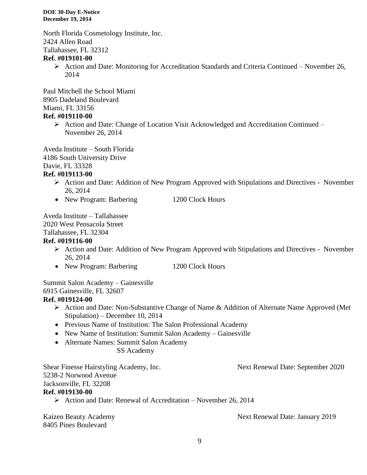North Florida Cosmetology Institute, Inc. 2424 Allen Road Tallahassee, FL 32312

#### **Ref. #019101-00**

 Action and Date: Monitoring for Accreditation Standards and Criteria Continued – November 26, 2014

Paul Mitchell the School Miami 8905 Dadeland Boulevard Miami, FL 33156

#### **Ref. #019110-00**

 Action and Date: Change of Location Visit Acknowledged and Accreditation Continued – November 26, 2014

Aveda Institute – South Florida 4186 South University Drive Davie, FL 33328

#### **Ref. #019113-00**

- Action and Date: Addition of New Program Approved with Stipulations and Directives November 26, 2014
- New Program: Barbering 1200 Clock Hours

Aveda Institute – Tallahassee 2020 West Pensacola Street Tallahassee, FL 32304

#### **Ref. #019116-00**

- Action and Date: Addition of New Program Approved with Stipulations and Directives November 26, 2014
- New Program: Barbering 1200 Clock Hours

Summit Salon Academy – Gainesville 6915 Gainesville, FL 32607

## **Ref. #019124-00**

- Action and Date: Non-Substantive Change of Name & Addition of Alternate Name Approved (Met Stipulation) – December 10, 2014
- Previous Name of Institution: The Salon Professional Academy
- New Name of Institution: Summit Salon Academy Gainesville
- Alternate Names: Summit Salon Academy

#### SS Academy

Shear Finesse Hairstyling Academy, Inc. Next Renewal Date: September 2020 5238-2 Norwood Avenue Jacksonville, FL 32208

#### **Ref. #019130-00**

 $\triangleright$  Action and Date: Renewal of Accreditation – November 26, 2014

8405 Pines Boulevard

Kaizen Beauty Academy **Next Renewal Date: January 2019**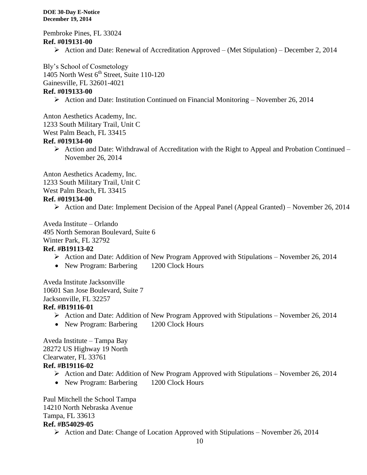Pembroke Pines, FL 33024 **Ref. #019131-00**

Action and Date: Renewal of Accreditation Approved – (Met Stipulation) – December 2, 2014

Bly's School of Cosmetology

1405 North West  $6<sup>th</sup>$  Street, Suite 110-120

Gainesville, FL 32601-4021

#### **Ref. #019133-00**

Action and Date: Institution Continued on Financial Monitoring – November 26, 2014

Anton Aesthetics Academy, Inc. 1233 South Military Trail, Unit C

West Palm Beach, FL 33415

#### **Ref. #019134-00**

 $\triangleright$  Action and Date: Withdrawal of Accreditation with the Right to Appeal and Probation Continued – November 26, 2014

Anton Aesthetics Academy, Inc. 1233 South Military Trail, Unit C West Palm Beach, FL 33415 **Ref. #019134-00**

 $\triangleright$  Action and Date: Implement Decision of the Appeal Panel (Appeal Granted) – November 26, 2014

Aveda Institute – Orlando 495 North Semoran Boulevard, Suite 6 Winter Park, FL 32792 **Ref. #B19113-02**

- $\triangleright$  Action and Date: Addition of New Program Approved with Stipulations November 26, 2014
- New Program: Barbering 1200 Clock Hours

Aveda Institute Jacksonville 10601 San Jose Boulevard, Suite 7 Jacksonville, FL 32257

- **Ref. #B19116-01**
	- $\triangleright$  Action and Date: Addition of New Program Approved with Stipulations November 26, 2014
	- New Program: Barbering 1200 Clock Hours

Aveda Institute – Tampa Bay 28272 US Highway 19 North Clearwater, FL 33761

#### **Ref. #B19116-02**

- $\triangleright$  Action and Date: Addition of New Program Approved with Stipulations November 26, 2014
- New Program: Barbering 1200 Clock Hours

Paul Mitchell the School Tampa 14210 North Nebraska Avenue Tampa, FL 33613 **Ref. #B54029-05**

 $\triangleright$  Action and Date: Change of Location Approved with Stipulations – November 26, 2014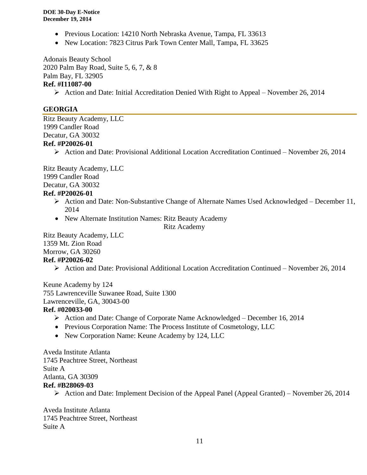- Previous Location: 14210 North Nebraska Avenue, Tampa, FL 33613
- New Location: 7823 Citrus Park Town Center Mall, Tampa, FL 33625

Adonais Beauty School 2020 Palm Bay Road, Suite 5, 6, 7, & 8 Palm Bay, FL 32905 **Ref. #I11087-00**

 $\triangleright$  Action and Date: Initial Accreditation Denied With Right to Appeal – November 26, 2014

#### **GEORGIA**

Ritz Beauty Academy, LLC 1999 Candler Road Decatur, GA 30032 **Ref. #P20026-01**

Action and Date: Provisional Additional Location Accreditation Continued – November 26, 2014

Ritz Beauty Academy, LLC 1999 Candler Road Decatur, GA 30032

#### **Ref. #P20026-01**

- Action and Date: Non-Substantive Change of Alternate Names Used Acknowledged December 11, 2014
- New Alternate Institution Names: Ritz Beauty Academy

Ritz Academy

Ritz Beauty Academy, LLC 1359 Mt. Zion Road Morrow, GA 30260 **Ref. #P20026-02**

Action and Date: Provisional Additional Location Accreditation Continued – November 26, 2014

Keune Academy by 124 755 Lawrenceville Suwanee Road, Suite 1300 Lawrenceville, GA, 30043-00

#### **Ref. #020033-00**

- Action and Date: Change of Corporate Name Acknowledged December 16, 2014
- Previous Corporation Name: The Process Institute of Cosmetology, LLC
- New Corporation Name: Keune Academy by 124, LLC

Aveda Institute Atlanta 1745 Peachtree Street, Northeast Suite A Atlanta, GA 30309 **Ref. #B28069-03**

 $\triangleright$  Action and Date: Implement Decision of the Appeal Panel (Appeal Granted) – November 26, 2014

Aveda Institute Atlanta 1745 Peachtree Street, Northeast Suite A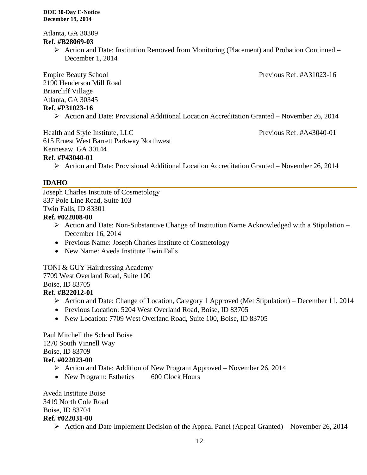Atlanta, GA 30309 **Ref. #B28069-03**

> $\triangleright$  Action and Date: Institution Removed from Monitoring (Placement) and Probation Continued – December 1, 2014

Empire Beauty School **Previous Ref. #A31023-16** 2190 Henderson Mill Road Briarcliff Village Atlanta, GA 30345 **Ref. #P31023-16**

Action and Date: Provisional Additional Location Accreditation Granted – November 26, 2014

Health and Style Institute, LLC Previous Ref. #A43040-01

615 Ernest West Barrett Parkway Northwest Kennesaw, GA 30144

#### **Ref. #P43040-01**

Action and Date: Provisional Additional Location Accreditation Granted – November 26, 2014

#### **IDAHO**

Joseph Charles Institute of Cosmetology 837 Pole Line Road, Suite 103 Twin Falls, ID 83301

#### **Ref. #022008-00**

- $\triangleright$  Action and Date: Non-Substantive Change of Institution Name Acknowledged with a Stipulation December 16, 2014
- Previous Name: Joseph Charles Institute of Cosmetology
- New Name: Aveda Institute Twin Falls

TONI & GUY Hairdressing Academy 7709 West Overland Road, Suite 100 Boise, ID 83705

## **Ref. #B22012-01**

- Action and Date: Change of Location, Category 1 Approved (Met Stipulation) December 11, 2014
- Previous Location: 5204 West Overland Road, Boise, ID 83705
- New Location: 7709 West Overland Road, Suite 100, Boise, ID 83705

Paul Mitchell the School Boise 1270 South Vinnell Way Boise, ID 83709 **Ref. #022023-00**

- Action and Date: Addition of New Program Approved November 26, 2014
- New Program: Esthetics 600 Clock Hours

Aveda Institute Boise 3419 North Cole Road Boise, ID 83704 **Ref. #022031-00**

 $\triangleright$  Action and Date Implement Decision of the Appeal Panel (Appeal Granted) – November 26, 2014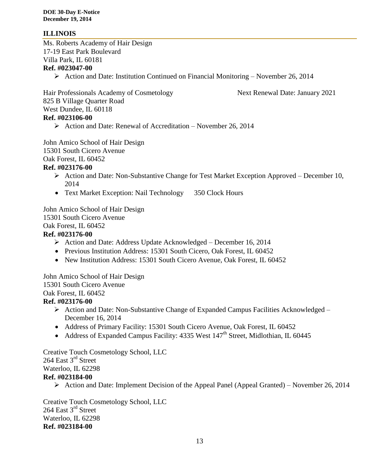#### **ILLINOIS**

Ms. Roberts Academy of Hair Design 17-19 East Park Boulevard Villa Park, IL 60181 **Ref. #023047-00**

 $\triangleright$  Action and Date: Institution Continued on Financial Monitoring – November 26, 2014

Hair Professionals Academy of Cosmetology Next Renewal Date: January 2021 825 B Village Quarter Road West Dundee, IL 60118 **Ref. #023106-00**

 $\triangleright$  Action and Date: Renewal of Accreditation – November 26, 2014

John Amico School of Hair Design

15301 South Cicero Avenue

Oak Forest, IL 60452

#### **Ref. #023176-00**

- Action and Date: Non-Substantive Change for Test Market Exception Approved December 10, 2014
- Text Market Exception: Nail Technology 350 Clock Hours

John Amico School of Hair Design

15301 South Cicero Avenue

Oak Forest, IL 60452

#### **Ref. #023176-00**

- Action and Date: Address Update Acknowledged December 16, 2014
- Previous Institution Address: 15301 South Cicero, Oak Forest, IL 60452
- New Institution Address: 15301 South Cicero Avenue, Oak Forest, IL 60452

John Amico School of Hair Design 15301 South Cicero Avenue Oak Forest, IL 60452

#### **Ref. #023176-00**

- $\triangleright$  Action and Date: Non-Substantive Change of Expanded Campus Facilities Acknowledged December 16, 2014
- Address of Primary Facility: 15301 South Cicero Avenue, Oak Forest, IL 60452
- Address of Expanded Campus Facility: 4335 West  $147<sup>th</sup>$  Street, Midlothian, IL 60445

Creative Touch Cosmetology School, LLC 264 East 3<sup>rd</sup> Street Waterloo, IL 62298 **Ref. #023184-00**

 $\triangleright$  Action and Date: Implement Decision of the Appeal Panel (Appeal Granted) – November 26, 2014

Creative Touch Cosmetology School, LLC 264 East 3<sup>rd</sup> Street Waterloo, IL 62298 **Ref. #023184-00**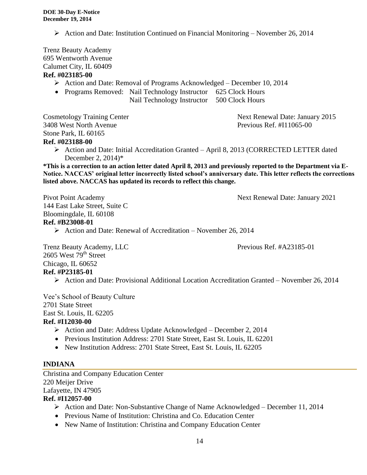Action and Date: Institution Continued on Financial Monitoring – November 26, 2014

Trenz Beauty Academy 695 Wentworth Avenue Calumet City, IL 60409 **Ref. #023185-00**

- Action and Date: Removal of Programs Acknowledged December 10, 2014
- Programs Removed: Nail Technology Instructor 625 Clock Hours
	- Nail Technology Instructor 500 Clock Hours

Cosmetology Training Center Next Renewal Date: January 2015 3408 West North Avenue Previous Ref. #I11065-00 Stone Park, IL 60165 **Ref. #023188-00**

 Action and Date: Initial Accreditation Granted – April 8, 2013 (CORRECTED LETTER dated December 2, 2014)\*

**\*This is a correction to an action letter dated April 8, 2013 and previously reported to the Department via E-Notice. NACCAS' original letter incorrectly listed school's anniversary date. This letter reflects the corrections listed above. NACCAS has updated its records to reflect this change.**

Pivot Point Academy 2021

144 East Lake Street, Suite C Bloomingdale, IL 60108 **Ref. #B23008-01**

 $\triangleright$  Action and Date: Renewal of Accreditation – November 26, 2014

Trenz Beauty Academy, LLC Previous Ref. #A23185-01  $2605$  West  $79<sup>th</sup>$  Street Chicago, IL 60652 **Ref. #P23185-01**

 $\triangleright$  Action and Date: Provisional Additional Location Accreditation Granted – November 26, 2014

Vee's School of Beauty Culture 2701 State Street East St. Louis, IL 62205

#### **Ref. #I12030-00**

- Action and Date: Address Update Acknowledged December 2, 2014
- Previous Institution Address: 2701 State Street, East St. Louis, IL 62201
- New Institution Address: 2701 State Street, East St. Louis, IL 62205

#### **INDIANA**

Christina and Company Education Center 220 Meijer Drive Lafayette, IN 47905

#### **Ref. #I12057-00**

- Action and Date: Non-Substantive Change of Name Acknowledged December 11, 2014
- Previous Name of Institution: Christina and Co. Education Center
- New Name of Institution: Christina and Company Education Center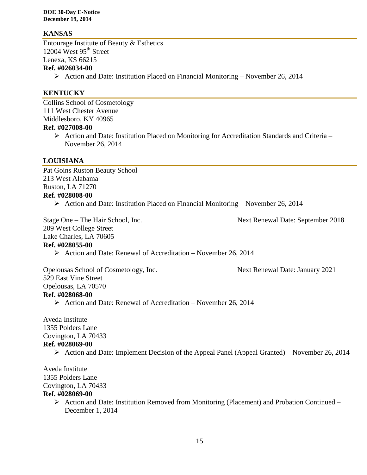#### **KANSAS**

Entourage Institute of Beauty & Esthetics 12004 West  $95<sup>th</sup>$  Street Lenexa, KS 66215 **Ref. #026034-00**

Action and Date: Institution Placed on Financial Monitoring – November 26, 2014

#### **KENTUCKY**

Collins School of Cosmetology 111 West Chester Avenue Middlesboro, KY 40965

#### **Ref. #027008-00**

 $\triangleright$  Action and Date: Institution Placed on Monitoring for Accreditation Standards and Criteria – November 26, 2014

#### **LOUISIANA**

Pat Goins Ruston Beauty School 213 West Alabama Ruston, LA 71270 **Ref. #028008-00**

 $\triangleright$  Action and Date: Institution Placed on Financial Monitoring – November 26, 2014

Stage One – The Hair School, Inc. Next Renewal Date: September 2018

209 West College Street

Lake Charles, LA 70605

#### **Ref. #028055-00**

 $\triangleright$  Action and Date: Renewal of Accreditation – November 26, 2014

Opelousas School of Cosmetology, Inc. Next Renewal Date: January 2021 529 East Vine Street Opelousas, LA 70570 **Ref. #028068-00**  $\triangleright$  Action and Date: Renewal of Accreditation – November 26, 2014

Aveda Institute 1355 Polders Lane Covington, LA 70433 **Ref. #028069-00**

 $\triangleright$  Action and Date: Implement Decision of the Appeal Panel (Appeal Granted) – November 26, 2014

Aveda Institute 1355 Polders Lane Covington, LA 70433 **Ref. #028069-00**

> $\triangleright$  Action and Date: Institution Removed from Monitoring (Placement) and Probation Continued – December 1, 2014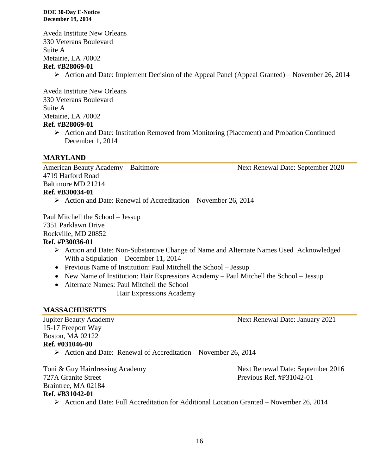Aveda Institute New Orleans 330 Veterans Boulevard Suite A Metairie, LA 70002 **Ref. #B28069-01**

 $\triangleright$  Action and Date: Implement Decision of the Appeal Panel (Appeal Granted) – November 26, 2014

Aveda Institute New Orleans 330 Veterans Boulevard Suite A Metairie, LA 70002 **Ref. #B28069-01**

> $\triangleright$  Action and Date: Institution Removed from Monitoring (Placement) and Probation Continued – December 1, 2014

#### **MARYLAND**

American Beauty Academy – Baltimore Next Renewal Date: September 2020 4719 Harford Road Baltimore MD 21214

#### **Ref. #B30034-01**

 $\triangleright$  Action and Date: Renewal of Accreditation – November 26, 2014

Paul Mitchell the School – Jessup 7351 Parklawn Drive Rockville, MD 20852

#### **Ref. #P30036-01**

- Action and Date: Non-Substantive Change of Name and Alternate Names Used Acknowledged With a Stipulation – December 11, 2014
- Previous Name of Institution: Paul Mitchell the School Jessup
- New Name of Institution: Hair Expressions Academy Paul Mitchell the School Jessup
- Alternate Names: Paul Mitchell the School

Hair Expressions Academy

#### **MASSACHUSETTS**

15-17 Freeport Way Boston, MA 02122 **Ref. #031046-00**

 $\triangleright$  Action and Date: Renewal of Accreditation – November 26, 2014

Toni & Guy Hairdressing Academy Next Renewal Date: September 2016 727A Granite Street Previous Ref. #P31042-01 Braintree, MA 02184 **Ref. #B31042-01**

 $\triangleright$  Action and Date: Full Accreditation for Additional Location Granted – November 26, 2014

Jupiter Beauty Academy Next Renewal Date: January 2021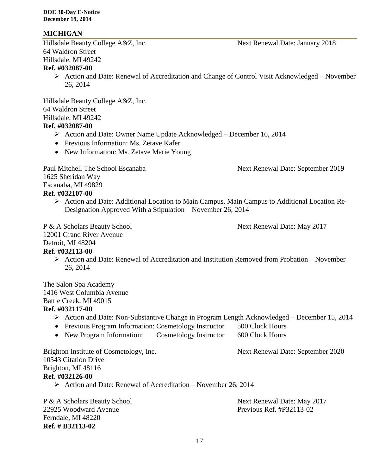#### **MICHIGAN**

Hillsdale Beauty College A&Z, Inc. Next Renewal Date: January 2018 64 Waldron Street Hillsdale, MI 49242 **Ref. #032087-00**

 Action and Date: Renewal of Accreditation and Change of Control Visit Acknowledged – November 26, 2014

Hillsdale Beauty College A&Z, Inc. 64 Waldron Street Hillsdale, MI 49242 **Ref. #032087-00**

- Action and Date: Owner Name Update Acknowledged December 16, 2014
- Previous Information: Ms. Zetave Kafer
- New Information: Ms. Zetave Marie Young

Paul Mitchell The School Escanaba Next Renewal Date: September 2019 1625 Sheridan Way Escanaba, MI 49829

#### **Ref. #032107-00**

 Action and Date: Additional Location to Main Campus, Main Campus to Additional Location Re-Designation Approved With a Stipulation – November 26, 2014

P & A Scholars Beauty School Next Renewal Date: May 2017

12001 Grand River Avenue

Detroit, MI 48204

#### **Ref. #032113-00**

 Action and Date: Renewal of Accreditation and Institution Removed from Probation – November 26, 2014

The Salon Spa Academy 1416 West Columbia Avenue Battle Creek, MI 49015

- **Ref. #032117-00**
	- Action and Date: Non-Substantive Change in Program Length Acknowledged December 15, 2014
	- Previous Program Information: Cosmetology Instructor 500 Clock Hours
	- New Program Information: Cosmetology Instructor 600 Clock Hours

| Next Renewal Date: September 2020 |
|-----------------------------------|
|                                   |
|                                   |
|                                   |
|                                   |
|                                   |

P & A Scholars Beauty School Next Renewal Date: May 2017 22925 Woodward Avenue Previous Ref. #P32113-02 Ferndale, MI 48220 **Ref. # B32113-02**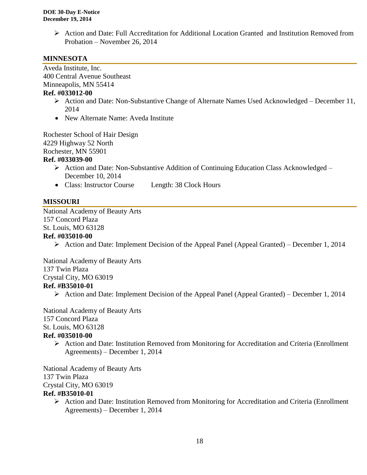Action and Date: Full Accreditation for Additional Location Granted and Institution Removed from Probation – November 26, 2014

#### **MINNESOTA**

Aveda Institute, Inc. 400 Central Avenue Southeast Minneapolis, MN 55414

#### **Ref. #033012-00**

- Action and Date: Non-Substantive Change of Alternate Names Used Acknowledged December 11, 2014
- New Alternate Name: Aveda Institute

Rochester School of Hair Design 4229 Highway 52 North Rochester, MN 55901 **Ref. #033039-00**

- ▶ Action and Date: Non-Substantive Addition of Continuing Education Class Acknowledged December 10, 2014
- Class: Instructor Course Length: 38 Clock Hours

#### **MISSOURI**

National Academy of Beauty Arts 157 Concord Plaza St. Louis, MO 63128 **Ref. #035010-00**

 $\triangleright$  Action and Date: Implement Decision of the Appeal Panel (Appeal Granted) – December 1, 2014

National Academy of Beauty Arts

137 Twin Plaza

Crystal City, MO 63019

#### **Ref. #B35010-01**

 $\triangleright$  Action and Date: Implement Decision of the Appeal Panel (Appeal Granted) – December 1, 2014

National Academy of Beauty Arts 157 Concord Plaza St. Louis, MO 63128 **Ref. #035010-00**

 $\triangleright$  Action and Date: Institution Removed from Monitoring for Accreditation and Criteria (Enrollment Agreements) – December 1, 2014

National Academy of Beauty Arts 137 Twin Plaza Crystal City, MO 63019 **Ref. #B35010-01**

> Action and Date: Institution Removed from Monitoring for Accreditation and Criteria (Enrollment Agreements) – December 1, 2014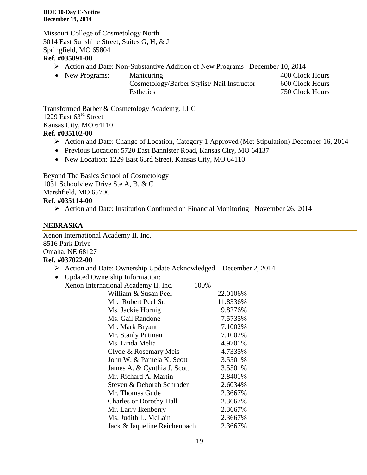Missouri College of Cosmetology North 3014 East Sunshine Street, Suites G, H, & J Springfield, MO 65804

#### **Ref. #035091-00**

- Action and Date: Non-Substantive Addition of New Programs –December 10, 2014
- New Programs: Manicuring 1999 Manicuring 1999 Manicuring 1999 Manicuring 1999 Manicuring 1999 Manicuring 199 Cosmetology/Barber Stylist/ Nail Instructor 600 Clock Hours Esthetics 750 Clock Hours

Transformed Barber & Cosmetology Academy, LLC 1229 East 63<sup>rd</sup> Street Kansas City, MO 64110 **Ref. #035102-00**

- Action and Date: Change of Location, Category 1 Approved (Met Stipulation) December 16, 2014
- Previous Location: 5720 East Bannister Road, Kansas City, MO 64137
- New Location: 1229 East 63rd Street, Kansas City, MO 64110

Beyond The Basics School of Cosmetology 1031 Schoolview Drive Ste A, B, & C Marshfield, MO 65706 **Ref. #035114-00**

Action and Date: Institution Continued on Financial Monitoring –November 26, 2014

#### **NEBRASKA**

Xenon International Academy II, Inc. 8516 Park Drive Omaha, NE 68127 **Ref. #037022-00**

 $\triangleright$  Action and Date: Ownership Update Acknowledged – December 2, 2014

| <b>Updated Ownership Information:</b> |          |
|---------------------------------------|----------|
| Xenon International Academy II, Inc.  | 100%     |
| William & Susan Peel                  | 22.0106% |
| Mr. Robert Peel Sr.                   | 11.8336% |
| Ms. Jackie Hornig                     | 9.8276%  |
| Ms. Gail Randone                      | 7.5735%  |
| Mr. Mark Bryant                       | 7.1002%  |
| Mr. Stanly Putman                     | 7.1002%  |
| Ms. Linda Melia                       | 4.9701%  |
| Clyde & Rosemary Meis                 | 4.7335%  |
| John W. & Pamela K. Scott             | 3.5501%  |
| James A. & Cynthia J. Scott           | 3.5501%  |
| Mr. Richard A. Martin                 | 2.8401%  |
| Steven & Deborah Schrader             | 2.6034%  |
| Mr. Thomas Gude                       | 2.3667%  |
| <b>Charles or Dorothy Hall</b>        | 2.3667%  |
| Mr. Larry Ikenberry                   | 2.3667%  |
| Ms. Judith L. McLain                  | 2.3667%  |
| Jack & Jaqueline Reichenbach          | 2.3667%  |
|                                       |          |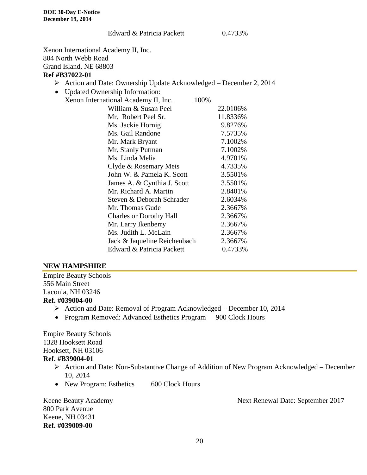#### Edward & Patricia Packett 0.4733%

Xenon International Academy II, Inc. 804 North Webb Road Grand Island, NE 68803

#### **Ref #B37022-01**

- Action and Date: Ownership Update Acknowledged December 2, 2014
- Updated Ownership Information:

| Xenon International Academy II, Inc. | 100%     |
|--------------------------------------|----------|
| William & Susan Peel                 | 22.0106% |
| Mr. Robert Peel Sr.                  | 11.8336% |
| Ms. Jackie Hornig                    | 9.8276%  |
| Ms. Gail Randone                     | 7.5735%  |
| Mr. Mark Bryant                      | 7.1002%  |
| Mr. Stanly Putman                    | 7.1002%  |
| Ms. Linda Melia                      | 4.9701%  |
| Clyde & Rosemary Meis                | 4.7335%  |
| John W. & Pamela K. Scott            | 3.5501%  |
| James A. & Cynthia J. Scott          | 3.5501%  |
| Mr. Richard A. Martin                | 2.8401%  |
| Steven & Deborah Schrader            | 2.6034%  |
| Mr. Thomas Gude                      | 2.3667%  |
| <b>Charles or Dorothy Hall</b>       | 2.3667%  |
| Mr. Larry Ikenberry                  | 2.3667%  |
| Ms. Judith L. McLain                 | 2.3667%  |
| Jack & Jaqueline Reichenbach         | 2.3667%  |
| Edward & Patricia Packett            | 0.4733%  |
|                                      |          |

#### **NEW HAMPSHIRE**

Empire Beauty Schools 556 Main Street Laconia, NH 03246 **Ref. #039004-00**

- Action and Date: Removal of Program Acknowledged December 10, 2014
- Program Removed: Advanced Esthetics Program 900 Clock Hours

Empire Beauty Schools 1328 Hooksett Road Hooksett, NH 03106 **Ref. #B39004-01**

- Action and Date: Non-Substantive Change of Addition of New Program Acknowledged December 10, 2014
- New Program: Esthetics 600 Clock Hours

800 Park Avenue Keene, NH 03431 **Ref. #039009-00**

Keene Beauty Academy **Next Renewal Date: September 2017**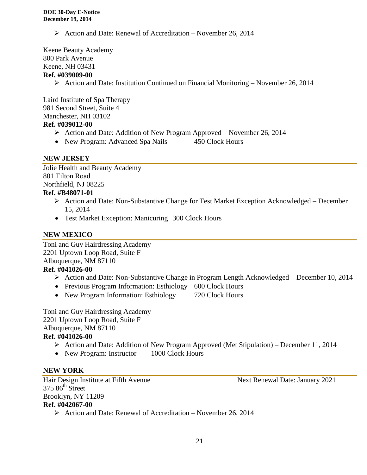$\triangleright$  Action and Date: Renewal of Accreditation – November 26, 2014

Keene Beauty Academy 800 Park Avenue Keene, NH 03431

## **Ref. #039009-00**

 $\triangleright$  Action and Date: Institution Continued on Financial Monitoring – November 26, 2014

Laird Institute of Spa Therapy 981 Second Street, Suite 4 Manchester, NH 03102 **Ref. #039012-00**

- Action and Date: Addition of New Program Approved November 26, 2014
- New Program: Advanced Spa Nails 450 Clock Hours

#### **NEW JERSEY**

Jolie Health and Beauty Academy 801 Tilton Road Northfield, NJ 08225

## **Ref. #B48071-01**

- Action and Date: Non-Substantive Change for Test Market Exception Acknowledged December 15, 2014
- Test Market Exception: Manicuring 300 Clock Hours

#### **NEW MEXICO**

Toni and Guy Hairdressing Academy 2201 Uptown Loop Road, Suite F Albuquerque, NM 87110 **Ref. #041026-00**

- Action and Date: Non-Substantive Change in Program Length Acknowledged December 10, 2014
- Previous Program Information: Esthiology 600 Clock Hours
- New Program Information: Esthiology 720 Clock Hours

Toni and Guy Hairdressing Academy 2201 Uptown Loop Road, Suite F Albuquerque, NM 87110 **Ref. #041026-00**

- Action and Date: Addition of New Program Approved (Met Stipulation) December 11, 2014
- New Program: Instructor 1000 Clock Hours

#### **NEW YORK**

Hair Design Institute at Fifth Avenue Next Renewal Date: January 2021  $375.86<sup>th</sup>$  Street Brooklyn, NY 11209 **Ref. #042067-00**  $\triangleright$  Action and Date: Renewal of Accreditation – November 26, 2014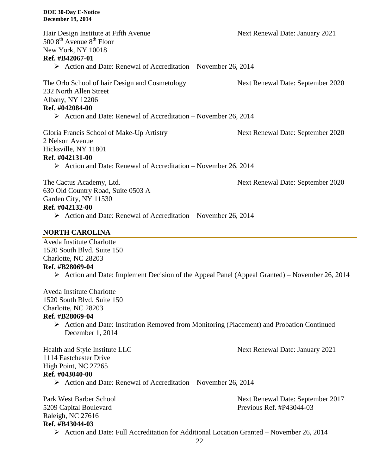| Hair Design Institute at Fifth Avenue<br>$5008^{\text{th}}$ Avenue $8^{\text{th}}$ Floor<br>New York, NY 10018<br>Ref. #B42067-01<br>$\triangleright$ Action and Date: Renewal of Accreditation – November 26, 2014 | Next Renewal Date: January 2021   |
|---------------------------------------------------------------------------------------------------------------------------------------------------------------------------------------------------------------------|-----------------------------------|
| The Orlo School of hair Design and Cosmetology<br>232 North Allen Street<br>Albany, NY 12206<br>Ref. #042084-00<br>$\triangleright$ Action and Date: Renewal of Accreditation – November 26, 2014                   | Next Renewal Date: September 2020 |
| Gloria Francis School of Make-Up Artistry<br>2 Nelson Avenue<br>Hicksville, NY 11801<br>Ref. #042131-00<br>$\triangleright$ Action and Date: Renewal of Accreditation – November 26, 2014                           | Next Renewal Date: September 2020 |
| The Cactus Academy, Ltd.<br>630 Old Country Road, Suite 0503 A<br>Garden City, NY 11530                                                                                                                             | Next Renewal Date: September 2020 |

#### **Ref. #042132-00**

 $\triangleright$  Action and Date: Renewal of Accreditation – November 26, 2014

#### **NORTH CAROLINA**

Aveda Institute Charlotte 1520 South Blvd. Suite 150 Charlotte, NC 28203 **Ref. #B28069-04**

 $\triangleright$  Action and Date: Implement Decision of the Appeal Panel (Appeal Granted) – November 26, 2014

Aveda Institute Charlotte 1520 South Blvd. Suite 150 Charlotte, NC 28203

#### **Ref. #B28069-04**

 $\triangleright$  Action and Date: Institution Removed from Monitoring (Placement) and Probation Continued – December 1, 2014

Health and Style Institute LLC Next Renewal Date: January 2021 1114 Eastchester Drive High Point, NC 27265 **Ref. #043040-00**

 $\triangleright$  Action and Date: Renewal of Accreditation – November 26, 2014

Raleigh, NC 27616 **Ref. #B43044-03**

Park West Barber School Next Renewal Date: September 2017 5209 Capital Boulevard Previous Ref. #P43044-03

Action and Date: Full Accreditation for Additional Location Granted – November 26, 2014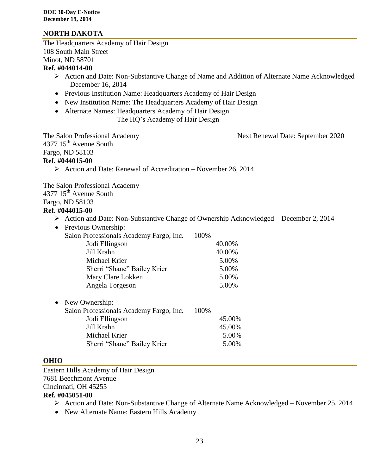#### **NORTH DAKOTA**

The Headquarters Academy of Hair Design 108 South Main Street Minot, ND 58701

#### **Ref. #044014-00**

- Action and Date: Non-Substantive Change of Name and Addition of Alternate Name Acknowledged – December 16, 2014
- Previous Institution Name: Headquarters Academy of Hair Design
- New Institution Name: The Headquarters Academy of Hair Design
- Alternate Names: Headquarters Academy of Hair Design

The HQ's Academy of Hair Design

The Salon Professional Academy Next Renewal Date: September 2020 4377 15<sup>th</sup> Avenue South

Fargo, ND 58103

#### **Ref. #044015-00**

 $\triangleright$  Action and Date: Renewal of Accreditation – November 26, 2014

The Salon Professional Academy

4377 15<sup>th</sup> Avenue South

Fargo, ND 58103

#### **Ref. #044015-00**

- Action and Date: Non-Substantive Change of Ownership Acknowledged December 2, 2014
- Previous Ownership: Salon Professionals Academy Fargo, Inc. 100% Jodi Ellingson 40.00% Jill Krahn 40.00% Michael Krier 5.00% Sherri "Shane" Bailey Krier 5.00% Mary Clare Lokken 5.00% Angela Torgeson 5.00%
- New Ownership:

| Salon Professionals Academy Fargo, Inc. | 100% |        |
|-----------------------------------------|------|--------|
| Jodi Ellingson                          |      | 45.00% |
| Jill Krahn                              |      | 45.00% |
| Michael Krier                           |      | 5.00%  |
| Sherri "Shane" Bailey Krier             |      | 5.00%  |

#### **OHIO**

Eastern Hills Academy of Hair Design 7681 Beechmont Avenue Cincinnati, OH 45255

#### **Ref. #045051-00**

- Action and Date: Non-Substantive Change of Alternate Name Acknowledged November 25, 2014
- New Alternate Name: Eastern Hills Academy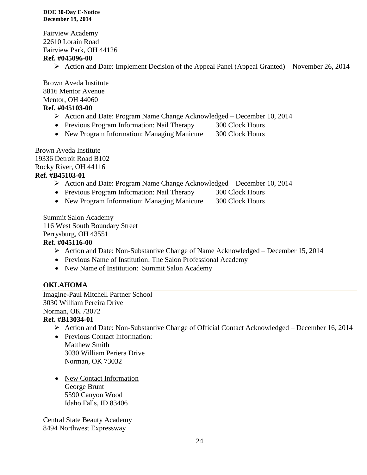Fairview Academy 22610 Lorain Road Fairview Park, OH 44126

#### **Ref. #045096-00**

 $\triangleright$  Action and Date: Implement Decision of the Appeal Panel (Appeal Granted) – November 26, 2014

Brown Aveda Institute 8816 Mentor Avenue Mentor, OH 44060 **Ref. #045103-00**

#### Action and Date: Program Name Change Acknowledged – December 10, 2014

- Previous Program Information: Nail Therapy 300 Clock Hours
- New Program Information: Managing Manicure 300 Clock Hours

Brown Aveda Institute 19336 Detroit Road B102 Rocky River, OH 44116 **Ref. #B45103-01**

- Action and Date: Program Name Change Acknowledged December 10, 2014
- Previous Program Information: Nail Therapy 300 Clock Hours
- New Program Information: Managing Manicure 300 Clock Hours

Summit Salon Academy 116 West South Boundary Street Perrysburg, OH 43551

#### **Ref. #045116-00**

- Action and Date: Non-Substantive Change of Name Acknowledged December 15, 2014
- Previous Name of Institution: The Salon Professional Academy
- New Name of Institution: Summit Salon Academy

#### **OKLAHOMA**

Imagine-Paul Mitchell Partner School 3030 William Pereira Drive Norman, OK 73072

#### **Ref. #B13034-01**

- Action and Date: Non-Substantive Change of Official Contact Acknowledged December 16, 2014
- Previous Contact Information: Matthew Smith 3030 William Periera Drive Norman, OK 73032
- New Contact Information George Brunt 5590 Canyon Wood Idaho Falls, ID 83406

Central State Beauty Academy 8494 Northwest Expressway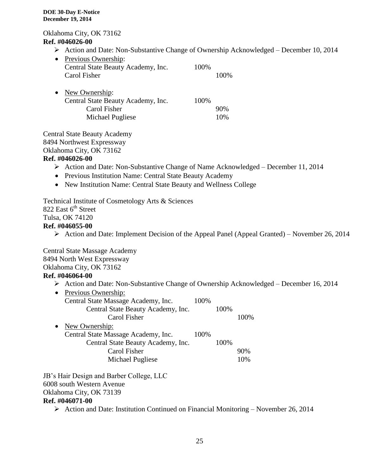Oklahoma City, OK 73162 **Ref. #046026-00**

Action and Date: Non-Substantive Change of Ownership Acknowledged – December 10, 2014

| $\bullet$ | Previous Ownership:<br>Central State Beauty Academy, Inc.<br>Carol Fisher | 100% | 100\% |
|-----------|---------------------------------------------------------------------------|------|-------|
| $\bullet$ | New Ownership:<br>Central State Beauty Academy, Inc.                      | 100% |       |

Carol Fisher 90% Michael Pugliese 10%

Central State Beauty Academy 8494 Northwest Expressway Oklahoma City, OK 73162

#### **Ref. #046026-00**

- Action and Date: Non-Substantive Change of Name Acknowledged December 11, 2014
- Previous Institution Name: Central State Beauty Academy
- New Institution Name: Central State Beauty and Wellness College

Technical Institute of Cosmetology Arts & Sciences 822 East 6<sup>th</sup> Street Tulsa, OK 74120 **Ref. #046055-00**

Action and Date: Implement Decision of the Appeal Panel (Appeal Granted) – November 26, 2014

Central State Massage Academy 8494 North West Expressway Oklahoma City, OK 73162

### **Ref. #046064-00**

Action and Date: Non-Substantive Change of Ownership Acknowledged – December 16, 2014

| • Previous Ownership:               |      |      |       |
|-------------------------------------|------|------|-------|
| Central State Massage Academy, Inc. | 100% |      |       |
| Central State Beauty Academy, Inc.  |      | 100% |       |
| Carol Fisher                        |      |      | 100\% |
| New Ownership:                      |      |      |       |
| Central State Massage Academy, Inc. | 100% |      |       |
| Central State Beauty Academy, Inc.  |      | 100% |       |
| Carol Fisher                        |      |      | 90%   |
| Michael Pugliese                    |      |      | 10%   |
|                                     |      |      |       |

JB's Hair Design and Barber College, LLC 6008 south Western Avenue Oklahoma City, OK 73139 **Ref. #046071-00**

Action and Date: Institution Continued on Financial Monitoring – November 26, 2014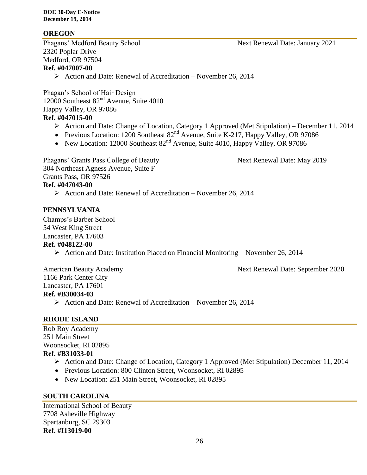#### **OREGON**

Phagans' Medford Beauty School Next Renewal Date: January 2021 2320 Poplar Drive Medford, OR 97504 **Ref. #047007-00**

 $\triangleright$  Action and Date: Renewal of Accreditation – November 26, 2014

Phagan's School of Hair Design 12000 Southeast  $82<sup>nd</sup>$  Avenue, Suite 4010 Happy Valley, OR 97086 **Ref. #047015-00**

- Action and Date: Change of Location, Category 1 Approved (Met Stipulation) December 11, 2014
- Previous Location: 1200 Southeast  $82<sup>nd</sup>$  Avenue, Suite K-217, Happy Valley, OR 97086
- New Location: 12000 Southeast  $82<sup>nd</sup>$  Avenue, Suite 4010, Happy Valley, OR 97086

Phagans' Grants Pass College of Beauty Next Renewal Date: May 2019 304 Northeast Agness Avenue, Suite F Grants Pass, OR 97526 **Ref. #047043-00**  $\triangleright$  Action and Date: Renewal of Accreditation – November 26, 2014

#### **PENNSYLVANIA**

Champs's Barber School 54 West King Street Lancaster, PA 17603 **Ref. #048122-00**

Action and Date: Institution Placed on Financial Monitoring – November 26, 2014

American Beauty Academy **Next Renewal Date: September 2020** 1166 Park Center City Lancaster, PA 17601 **Ref. #B30034-03**

 $\triangleright$  Action and Date: Renewal of Accreditation – November 26, 2014

#### **RHODE ISLAND**

Rob Roy Academy 251 Main Street Woonsocket, RI 02895 **Ref. #B31033-01**

- Action and Date: Change of Location, Category 1 Approved (Met Stipulation) December 11, 2014
- Previous Location: 800 Clinton Street, Woonsocket, RI 02895
- New Location: 251 Main Street, Woonsocket, RI 02895

#### **SOUTH CAROLINA**

International School of Beauty 7708 Asheville Highway Spartanburg, SC 29303 **Ref. #I13019-00**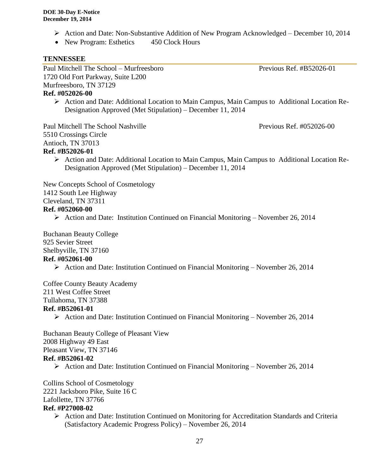- Action and Date: Non-Substantive Addition of New Program Acknowledged December 10, 2014
- New Program: Esthetics 450 Clock Hours

#### **TENNESSEE**

Paul Mitchell The School – Murfreesboro Previous Ref. #B52026-01 1720 Old Fort Parkway, Suite L200 Murfreesboro, TN 37129

#### **Ref. #052026-00**

 Action and Date: Additional Location to Main Campus, Main Campus to Additional Location Re-Designation Approved (Met Stipulation) – December 11, 2014

Paul Mitchell The School Nashville Previous Ref. #052026-00 5510 Crossings Circle Antioch, TN 37013 **Ref. #B52026-01**

 $\triangleright$  Action and Date: Additional Location to Main Campus, Main Campus to Additional Location Re-Designation Approved (Met Stipulation) – December 11, 2014

New Concepts School of Cosmetology 1412 South Lee Highway Cleveland, TN 37311

#### **Ref. #052060-00**

Action and Date: Institution Continued on Financial Monitoring – November 26, 2014

Buchanan Beauty College 925 Sevier Street Shelbyville, TN 37160 **Ref. #052061-00**

 $\triangleright$  Action and Date: Institution Continued on Financial Monitoring – November 26, 2014

Coffee County Beauty Academy 211 West Coffee Street Tullahoma, TN 37388

#### **Ref. #B52061-01**

Action and Date: Institution Continued on Financial Monitoring – November 26, 2014

Buchanan Beauty College of Pleasant View 2008 Highway 49 East Pleasant View, TN 37146 **Ref. #B52061-02**

 $\triangleright$  Action and Date: Institution Continued on Financial Monitoring – November 26, 2014

Collins School of Cosmetology 2221 Jacksboro Pike, Suite 16 C Lafollette, TN 37766 **Ref. #P27008-02**

> $\triangleright$  Action and Date: Institution Continued on Monitoring for Accreditation Standards and Criteria (Satisfactory Academic Progress Policy) – November 26, 2014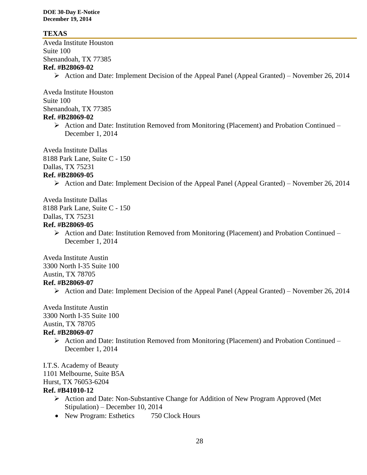#### **TEXAS**

Aveda Institute Houston Suite 100 Shenandoah, TX 77385 **Ref. #B28069-02**

Action and Date: Implement Decision of the Appeal Panel (Appeal Granted) – November 26, 2014

Aveda Institute Houston Suite 100 Shenandoah, TX 77385 **Ref. #B28069-02**

> $\triangleright$  Action and Date: Institution Removed from Monitoring (Placement) and Probation Continued – December 1, 2014

Aveda Institute Dallas 8188 Park Lane, Suite C - 150 Dallas, TX 75231 **Ref. #B28069-05**

 $\triangleright$  Action and Date: Implement Decision of the Appeal Panel (Appeal Granted) – November 26, 2014

Aveda Institute Dallas 8188 Park Lane, Suite C - 150 Dallas, TX 75231 **Ref. #B28069-05**

> $\triangleright$  Action and Date: Institution Removed from Monitoring (Placement) and Probation Continued – December 1, 2014

Aveda Institute Austin 3300 North I-35 Suite 100 Austin, TX 78705 **Ref. #B28069-07**

Action and Date: Implement Decision of the Appeal Panel (Appeal Granted) – November 26, 2014

Aveda Institute Austin 3300 North I-35 Suite 100 Austin, TX 78705

#### **Ref. #B28069-07**

 $\triangleright$  Action and Date: Institution Removed from Monitoring (Placement) and Probation Continued – December 1, 2014

I.T.S. Academy of Beauty 1101 Melbourne, Suite B5A Hurst, TX 76053-6204

#### **Ref. #B41010-12**

- Action and Date: Non-Substantive Change for Addition of New Program Approved (Met Stipulation) – December 10, 2014
- New Program: Esthetics 750 Clock Hours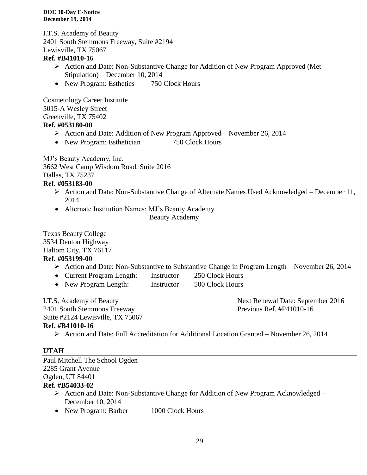I.T.S. Academy of Beauty 2401 South Stemmons Freeway, Suite #2194 Lewisville, TX 75067

#### **Ref. #B41010-16**

- Action and Date: Non-Substantive Change for Addition of New Program Approved (Met Stipulation) – December 10, 2014
- New Program: Esthetics 750 Clock Hours

Cosmetology Career Institute 5015-A Wesley Street Greenville, TX 75402 **Ref. #053180-00**

- $\triangleright$  Action and Date: Addition of New Program Approved November 26, 2014
- New Program: Esthetician 750 Clock Hours

MJ's Beauty Academy, Inc. 3662 West Camp Wisdom Road, Suite 2016 Dallas, TX 75237

#### **Ref. #053183-00**

- Action and Date: Non-Substantive Change of Alternate Names Used Acknowledged December 11, 2014
- Alternate Institution Names: MJ's Beauty Academy

Beauty Academy

Texas Beauty College 3534 Denton Highway Haltom City, TX 76117 **Ref. #053199-00**

- Action and Date: Non-Substantive to Substantive Change in Program Length November 26, 2014
- Current Program Length: Instructor 250 Clock Hours
- New Program Length: Instructor 500 Clock Hours

2401 South Stemmons Freeway Previous Ref. #P41010-16

I.T.S. Academy of Beauty **Next Renewal Date: September 2016** 

Suite #2124 Lewisville, TX 75067

#### **Ref. #B41010-16**

Action and Date: Full Accreditation for Additional Location Granted – November 26, 2014

#### **UTAH**

Paul Mitchell The School Ogden 2285 Grant Avenue Ogden, UT 84401

#### **Ref. #B54033-02**

- ▶ Action and Date: Non-Substantive Change for Addition of New Program Acknowledged December 10, 2014
- New Program: Barber 1000 Clock Hours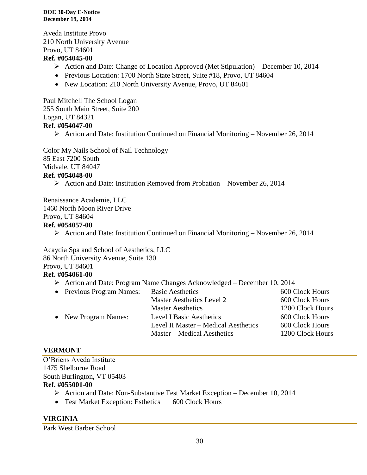Aveda Institute Provo 210 North University Avenue Provo, UT 84601

#### **Ref. #054045-00**

- $\triangleright$  Action and Date: Change of Location Approved (Met Stipulation) December 10, 2014
- Previous Location: 1700 North State Street, Suite #18, Provo, UT 84604
- New Location: 210 North University Avenue, Provo, UT 84601

Paul Mitchell The School Logan 255 South Main Street, Suite 200 Logan, UT 84321 **Ref. #054047-00**

 $\triangleright$  Action and Date: Institution Continued on Financial Monitoring – November 26, 2014

Color My Nails School of Nail Technology 85 East 7200 South Midvale, UT 84047 **Ref. #054048-00**

Action and Date: Institution Removed from Probation – November 26, 2014

Renaissance Academie, LLC 1460 North Moon River Drive Provo, UT 84604

#### **Ref. #054057-00**

 $\triangleright$  Action and Date: Institution Continued on Financial Monitoring – November 26, 2014

Acaydia Spa and School of Aesthetics, LLC 86 North University Avenue, Suite 130 Provo, UT 84601 **Ref. #054061-00**

Action and Date: Program Name Changes Acknowledged – December 10, 2014

| • Previous Program Names: | <b>Basic Aesthetics</b>              | 600 Clock Hours  |
|---------------------------|--------------------------------------|------------------|
|                           | Master Aesthetics Level 2            | 600 Clock Hours  |
|                           | <b>Master Aesthetics</b>             | 1200 Clock Hours |
| • New Program Names:      | <b>Level I Basic Aesthetics</b>      | 600 Clock Hours  |
|                           | Level II Master – Medical Aesthetics | 600 Clock Hours  |
|                           | Master – Medical Aesthetics          | 1200 Clock Hours |
|                           |                                      |                  |

#### **VERMONT**

O'Briens Aveda Institute 1475 Shelburne Road South Burlington, VT 05403

#### **Ref. #055001-00**

- $\triangleright$  Action and Date: Non-Substantive Test Market Exception December 10, 2014
- Test Market Exception: Esthetics 600 Clock Hours

#### **VIRGINIA**

Park West Barber School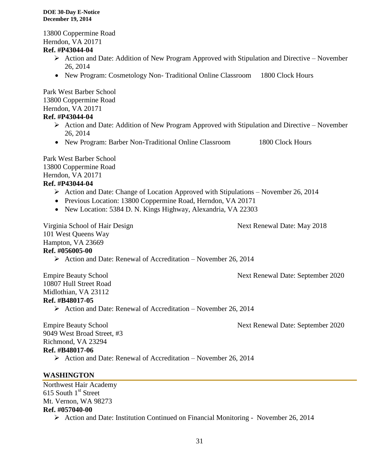13800 Coppermine Road Herndon, VA 20171 **Ref. #P43044-04**

- $\triangleright$  Action and Date: Addition of New Program Approved with Stipulation and Directive November 26, 2014
- New Program: Cosmetology Non-Traditional Online Classroom 1800 Clock Hours

Park West Barber School 13800 Coppermine Road Herndon, VA 20171 **Ref. #P43044-04**

- $\triangleright$  Action and Date: Addition of New Program Approved with Stipulation and Directive November 26, 2014
- New Program: Barber Non-Traditional Online Classroom 1800 Clock Hours

Park West Barber School 13800 Coppermine Road Herndon, VA 20171

#### **Ref. #P43044-04**

- $\triangleright$  Action and Date: Change of Location Approved with Stipulations November 26, 2014
- Previous Location: 13800 Coppermine Road, Herndon, VA 20171
- New Location: 5384 D. N. Kings Highway, Alexandria, VA 22303

Virginia School of Hair Design Next Renewal Date: May 2018 101 West Queens Way Hampton, VA 23669

- **Ref. #056005-00**
	- $\triangleright$  Action and Date: Renewal of Accreditation November 26, 2014

Empire Beauty School Next Renewal Date: September 2020

10807 Hull Street Road Midlothian, VA 23112 **Ref. #B48017-05**

 $\triangleright$  Action and Date: Renewal of Accreditation – November 26, 2014

Empire Beauty School Next Renewal Date: September 2020

9049 West Broad Street, #3 Richmond, VA 23294

#### **Ref. #B48017-06**

 $\triangleright$  Action and Date: Renewal of Accreditation – November 26, 2014

#### **WASHINGTON**

Northwest Hair Academy 615 South 1<sup>st</sup> Street Mt. Vernon, WA 98273 **Ref. #057040-00** Action and Date: Institution Continued on Financial Monitoring - November 26, 2014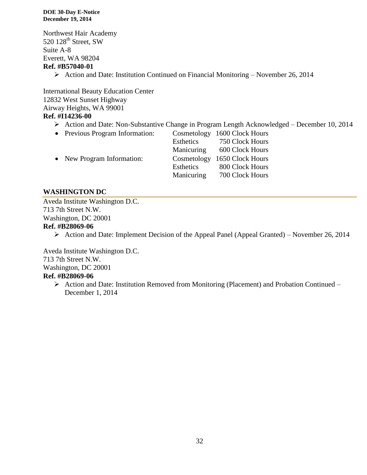Northwest Hair Academy 520 128<sup>th</sup> Street, SW Suite A-8 Everett, WA 98204 **Ref. #B57040-01**

 $\triangleright$  Action and Date: Institution Continued on Financial Monitoring – November 26, 2014

International Beauty Education Center 12832 West Sunset Highway Airway Heights, WA 99001 **Ref. #I14236-00**

Action and Date: Non-Substantive Change in Program Length Acknowledged – December 10, 2014

| • Previous Program Information: |             | Cosmetology 1600 Clock Hours |
|---------------------------------|-------------|------------------------------|
|                                 | Esthetics   | 750 Clock Hours              |
|                                 | Manicuring  | 600 Clock Hours              |
| • New Program Information:      | Cosmetology | 1650 Clock Hours             |
|                                 | Esthetics   | 800 Clock Hours              |
|                                 | Manicuring  | 700 Clock Hours              |

#### **WASHINGTON DC**

Aveda Institute Washington D.C. 713 7th Street N.W. Washington, DC 20001

#### **Ref. #B28069-06**

 $\triangleright$  Action and Date: Implement Decision of the Appeal Panel (Appeal Granted) – November 26, 2014

Aveda Institute Washington D.C. 713 7th Street N.W. Washington, DC 20001 **Ref. #B28069-06**

 Action and Date: Institution Removed from Monitoring (Placement) and Probation Continued – December 1, 2014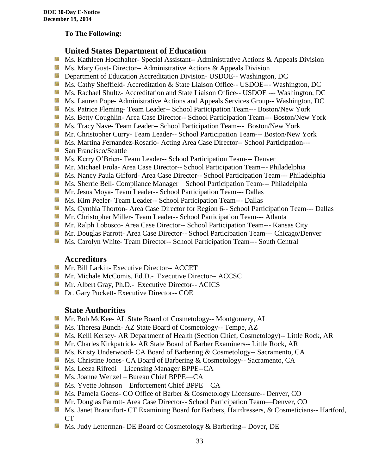#### **To The Following:**

#### **United States Department of Education**

- **Ms. Kathleen Hochhalter- Special Assistant-- Administrative Actions & Appeals Division**
- **MS. Mary Gust- Director-- Administrative Actions & Appeals Division**
- **Department of Education Accreditation Division- USDOE-- Washington, DC**
- Ms. Cathy Sheffield- Accreditation & State Liaison Office-- USDOE--- Washington, DC
- **MS. Rachael Shultz- Accreditation and State Liaison Office-- USDOE --- Washington, DC**
- Ms. Lauren Pope- Administrative Actions and Appeals Services Group-- Washington, DC
- Ms. Patrice Fleming-Team Leader-- School Participation Team--- Boston/New York
- **MS. Betty Coughlin- Area Case Director-- School Participation Team--- Boston/New York**
- Ms. Tracy Nave-Team Leader-- School Participation Team--- Boston/New York
- **Mr. Christopher Curry- Team Leader-- School Participation Team--- Boston/New York**
- Ms. Martina Fernandez-Rosario- Acting Area Case Director-- School Participation---
- **San Francisco/Seattle**
- **MS. Kerry O'Brien- Team Leader-- School Participation Team--- Denver**
- **Mr. Michael Frola- Area Case Director-- School Participation Team--- Philadelphia**
- **MS. Nancy Paula Gifford- Area Case Director-- School Participation Team--- Philadelphia**
- Ms. Sherrie Bell- Compliance Manager—School Participation Team--- Philadelphia
- Mr. Jesus Moya- Team Leader-- School Participation Team--- Dallas
- **MS. Kim Peeler-Team Leader-- School Participation Team--- Dallas**
- **Ms. Cynthia Thorton- Area Case Director for Region 6-- School Participation Team--- Dallas**
- **Mr.** Christopher Miller-Team Leader-- School Participation Team--- Atlanta
- **Mr. Ralph Lobosco- Area Case Director-- School Participation Team--- Kansas City**
- Mr. Douglas Parrott- Area Case Director-- School Participation Team--- Chicago/Denver
- **MS. Carolyn White-Team Director-- School Participation Team--- South Central**

#### **Accreditors**

- **Mr. Bill Larkin- Executive Director-- ACCET**
- **Mr. Michale McComis, Ed.D.- Executive Director-- ACCSC**
- Mr. Albert Gray, Ph.D.- Executive Director-- ACICS
- **Dr.** Gary Puckett- Executive Director-- COE

#### **State Authorities**

- **Mr.** Bob McKee- AL State Board of Cosmetology-- Montgomery, AL
- Ms. Theresa Bunch- AZ State Board of Cosmetology-- Tempe, AZ
- Ms. Kelli Kersey- AR Department of Health (Section Chief, Cosmetology)-- Little Rock, AR
- Mr. Charles Kirkpatrick- AR State Board of Barber Examiners-- Little Rock, AR
- Ms. Kristy Underwood- CA Board of Barbering & Cosmetology-- Sacramento, CA
- Ms. Christine Jones- CA Board of Barbering & Cosmetology-- Sacramento, CA
- **Ms. Leeza Rifredi** Licensing Manager BPPE--CA
- Ms. Joanne Wenzel Bureau Chief BPPE—CA
- Ms. Yvette Johnson Enforcement Chief BPPE CA
- **Ms. Pamela Goens- CO Office of Barber & Cosmetology Licensure-- Denver, CO**
- **Mr. Douglas Parrott- Area Case Director-- School Participation Team—Denver, CO**
- Ms. Janet Brancifort- CT Examining Board for Barbers, Hairdressers, & Cosmeticians-- Hartford, CT
- Ms. Judy Letterman- DE Board of Cosmetology & Barbering-- Dover, DE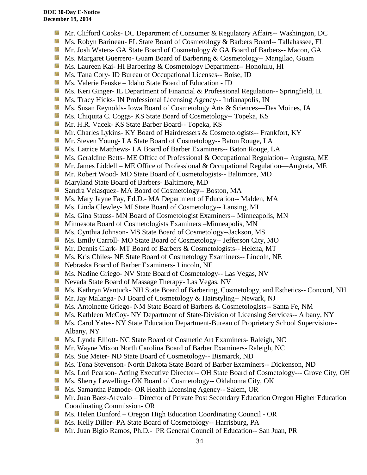- **Mr.** Clifford Cooks- DC Department of Consumer & Regulatory Affairs-- Washington, DC
- Ms. Robyn Barineau- FL State Board of Cosmetology & Barbers Board-- Tallahassee, FL
- Mr. Josh Waters- GA State Board of Cosmetology & GA Board of Barbers-- Macon, GA
- **Ms. Margaret Guerrero- Guam Board of Barbering & Cosmetology-- Mangilao, Guam**
- **Ms. Laureen Kai- HI Barbering & Cosmetology Department-- Honolulu, HI**
- **Ms.** Tana Cory- ID Bureau of Occupational Licenses-- Boise, ID
- Ms. Valerie Fenske Idaho State Board of Education ID
- **Ms. Keri Ginger- IL Department of Financial & Professional Regulation-- Springfield, IL**
- Side. Ms. Tracy Hicks- IN Professional Licensing Agency-- Indianapolis, IN
- Ms. Susan Reynolds- Iowa Board of Cosmetology Arts & Sciences—Des Moines, IA
- Ms. Chiquita C. Coggs- KS State Board of Cosmetology-- Topeka, KS
- 56 Mr. H.R. Vacek- KS State Barber Board-- Topeka, KS
- Mr. Charles Lykins- KY Board of Hairdressers & Cosmetologists-- Frankfort, KY
- **Mr.** Steven Young-LA State Board of Cosmetology-- Baton Rouge, LA
- **Ms.** Latrice Matthews- LA Board of Barber Examiners-- Baton Rouge, LA
- **Ms.** Geraldine Betts- ME Office of Professional & Occupational Regulation-- Augusta, ME
- **Mr.** James Liddell ME Office of Professional & Occupational Regulation—Augusta, ME
- **Mr. Robert Wood- MD State Board of Cosmetologists-- Baltimore, MD**
- **Maryland State Board of Barbers- Baltimore, MD**
- **Sandra Velasquez-MA Board of Cosmetology-- Boston, MA**
- Ms. Mary Jayne Fay, Ed.D.- MA Department of Education-- Malden, MA
- Sila Ms. Linda Clewley- MI State Board of Cosmetology-- Lansing, MI
- **Ms.** Gina Stauss- MN Board of Cosmetologist Examiners-- Minneapolis, MN
- **M** Minnesota Board of Cosmetologists Examiners –Minneapolis, MN
- 59 Ms. Cynthia Johnson- MS State Board of Cosmetology--Jackson, MS
- Ms. Emily Carroll- MO State Board of Cosmetology-- Jefferson City, MO
- Mr. Dennis Clark- MT Board of Barbers & Cosmetologists-- Helena, MT
- Ms. Kris Chiles- NE State Board of Cosmetology Examiners-- Lincoln, NE
- Nebraska Board of Barber Examiners- Lincoln, NE
- Ms. Nadine Griego- NV State Board of Cosmetology-- Las Vegas, NV
- **Nevada State Board of Massage Therapy- Las Vegas, NV**
- Ms. Kathryn Wantuck- NH State Board of Barbering, Cosmetology, and Esthetics-- Concord, NH
- Mr. Jay Malanga- NJ Board of Cosmetology & Hairstyling-- Newark, NJ
- Ms. Antoinette Griego- NM State Board of Barbers & Cosmetologists-- Santa Fe, NM
- **Ms. Kathleen McCoy- NY Department of State-Division of Licensing Services-- Albany, NY**
- Ms. Carol Yates- NY State Education Department-Bureau of Proprietary School Supervision--Albany, NY
- Ms. Lynda Elliott- NC State Board of Cosmetic Art Examiners- Raleigh, NC
- **Mr. Wayne Mixon North Carolina Board of Barber Examiners- Raleigh, NC**
- Ms. Sue Meier- ND State Board of Cosmetology-- Bismarck, ND
- **Ms. Tona Stevenson- North Dakota State Board of Barber Examiners-- Dickenson, ND**
- Ms. Lori Pearson- Acting Executive Director-- OH State Board of Cosmetology--- Grove City, OH
- **Ms. Sherry Lewelling- OK Board of Cosmetology-- Oklahoma City, OK**
- **Ms. Samantha Patnode- OR Health Licensing Agency-- Salem, OR**
- Mr. Juan Baez-Arevalo Director of Private Post Secondary Education Oregon Higher Education Coordinating Commission- OR
- **Ms. Helen Dunford Oregon High Education Coordinating Council OR**
- Ms. Kelly Diller- PA State Board of Cosmetology-- Harrisburg, PA
- Mr. Juan Bigio Ramos, Ph.D.- PR General Council of Education-- San Juan, PR